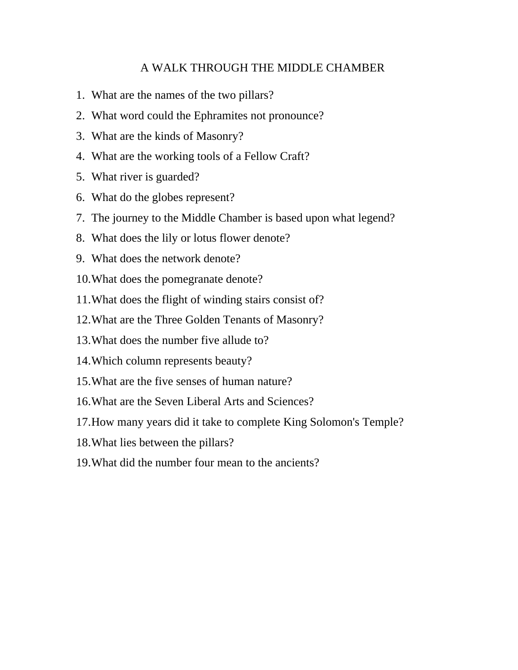## A WALK THROUGH THE MIDDLE CHAMBER

- 1. What are the names of the two pillars?
- 2. What word could the Ephramites not pronounce?
- 3. What are the kinds of Masonry?
- 4. What are the working tools of a Fellow Craft?
- 5. What river is guarded?
- 6. What do the globes represent?
- 7. The journey to the Middle Chamber is based upon what legend?
- 8. What does the lily or lotus flower denote?
- 9. What does the network denote?
- 10.What does the pomegranate denote?
- 11.What does the flight of winding stairs consist of?
- 12.What are the Three Golden Tenants of Masonry?
- 13.What does the number five allude to?
- 14.Which column represents beauty?
- 15.What are the five senses of human nature?
- 16.What are the Seven Liberal Arts and Sciences?
- 17.How many years did it take to complete King Solomon's Temple?
- 18.What lies between the pillars?
- 19.What did the number four mean to the ancients?